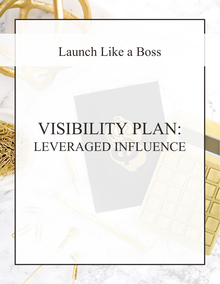## Launch Like a Boss

# VISIBILITY PLAN: LEVERAGED INFLUENCE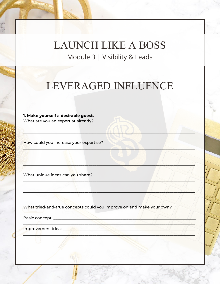### LEVERAGED INFLUENCE

1. Make yourself a desirable guest. What are you an expert at already?

How could you increase your expertise?

What unique ideas can you share?

What tried-and-true concepts could you improve on and make your own?

<u> 1990 - Andrew States (d. 1980)</u>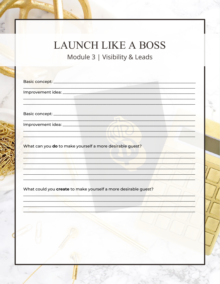## **LAUNCH LIKE A BOSS**

Module 3 | Visibility & Leads

| What can you do to make yourself a more desirable guest?       |
|----------------------------------------------------------------|
|                                                                |
|                                                                |
|                                                                |
|                                                                |
|                                                                |
|                                                                |
| What could you create to make yourself a more desirable guest? |
|                                                                |
|                                                                |
|                                                                |
|                                                                |
|                                                                |
|                                                                |
|                                                                |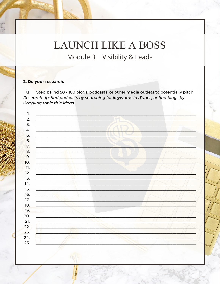#### 2. Do your research.

Step 1: Find 50 - 100 blogs, podcasts, or other media outlets to potentially pitch.  $\Box$ Research tip: find podcasts by searching for keywords in iTunes, or find blogs by Googling topic title ideas.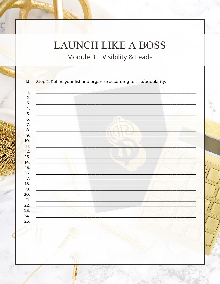| <u> 1989 - Johann Stoff, deutscher Stoff, der Stoff, der Stoff, der Stoff, der Stoff, der Stoff, der Stoff, der S</u>                                                                                                                |  |
|--------------------------------------------------------------------------------------------------------------------------------------------------------------------------------------------------------------------------------------|--|
| <u> 1989 - Johann Harry Marie Barn, amerikan ba</u>                                                                                                                                                                                  |  |
| <u> 1989 - Johann Barnett, fransk politiker (d. 1989)</u>                                                                                                                                                                            |  |
|                                                                                                                                                                                                                                      |  |
|                                                                                                                                                                                                                                      |  |
|                                                                                                                                                                                                                                      |  |
|                                                                                                                                                                                                                                      |  |
| <u>and the second control of the second control of the second control of the second control of the second control of the second control of the second control of the second control of the second control of the second control </u> |  |
|                                                                                                                                                                                                                                      |  |
|                                                                                                                                                                                                                                      |  |
| the contract of the contract of the contract of the contract of the contract of the contract of the contract of                                                                                                                      |  |
| the contract of the contract of the contract of the contract of the contract of                                                                                                                                                      |  |
|                                                                                                                                                                                                                                      |  |
| <u> 1970 - Jan James Andrews, amerikansk politiker (</u>                                                                                                                                                                             |  |
|                                                                                                                                                                                                                                      |  |
| <u> 1986 - Alexander Alexander III (m. 1956)</u>                                                                                                                                                                                     |  |
|                                                                                                                                                                                                                                      |  |
|                                                                                                                                                                                                                                      |  |
|                                                                                                                                                                                                                                      |  |
| and the company of the contract of the contract of the contract of the contract of the contract of the contract of                                                                                                                   |  |
| and the second state of the second state of the second state of the second state of the                                                                                                                                              |  |
|                                                                                                                                                                                                                                      |  |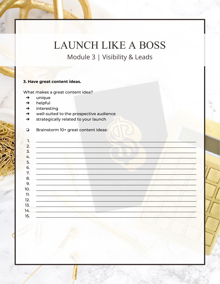#### 3. Have great content ideas.

What makes a great content idea?

- unique  $\rightarrow$
- helpful  $\rightarrow$
- interesting  $\rightarrow$
- well-suited to the prospective audience  $\rightarrow$
- strategically related to your launch  $\rightarrow$
- Brainstorm 10+ great content ideas:  $\Box$